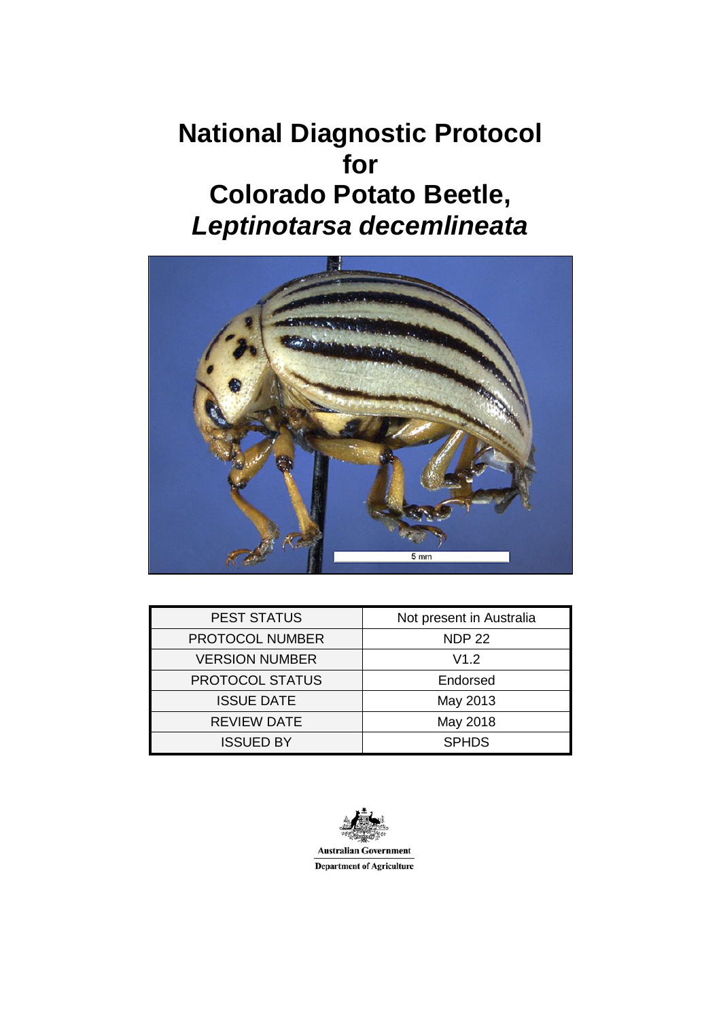# **National Diagnostic Protocol for Colorado Potato Beetle,** *Leptinotarsa decemlineata*



| <b>PEST STATUS</b>     | Not present in Australia |
|------------------------|--------------------------|
| <b>PROTOCOL NUMBER</b> | <b>NDP 22</b>            |
| <b>VERSION NUMBER</b>  | V1.2                     |
| PROTOCOL STATUS        | Endorsed                 |
| <b>ISSUE DATE</b>      | May 2013                 |
| <b>REVIEW DATE</b>     | May 2018                 |
| <b>ISSUED BY</b>       | <b>SPHDS</b>             |

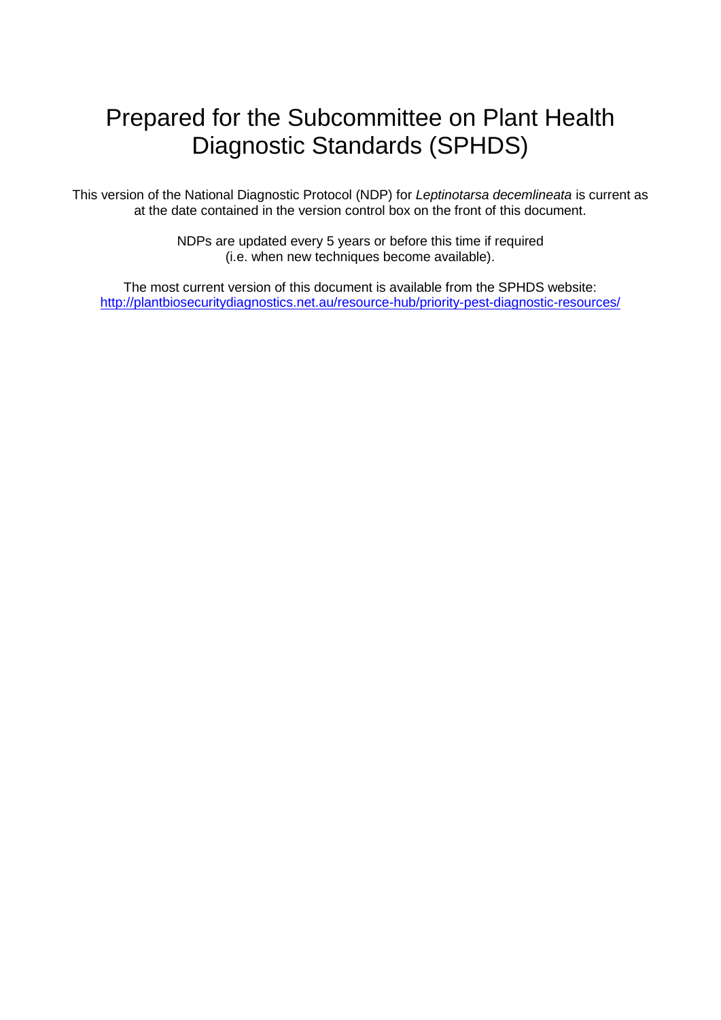# Prepared for the Subcommittee on Plant Health Diagnostic Standards (SPHDS)

This version of the National Diagnostic Protocol (NDP) for *Leptinotarsa decemlineata* is current as at the date contained in the version control box on the front of this document.

> NDPs are updated every 5 years or before this time if required (i.e. when new techniques become available).

The most current version of this document is available from the SPHDS website: <http://plantbiosecuritydiagnostics.net.au/resource-hub/priority-pest-diagnostic-resources/>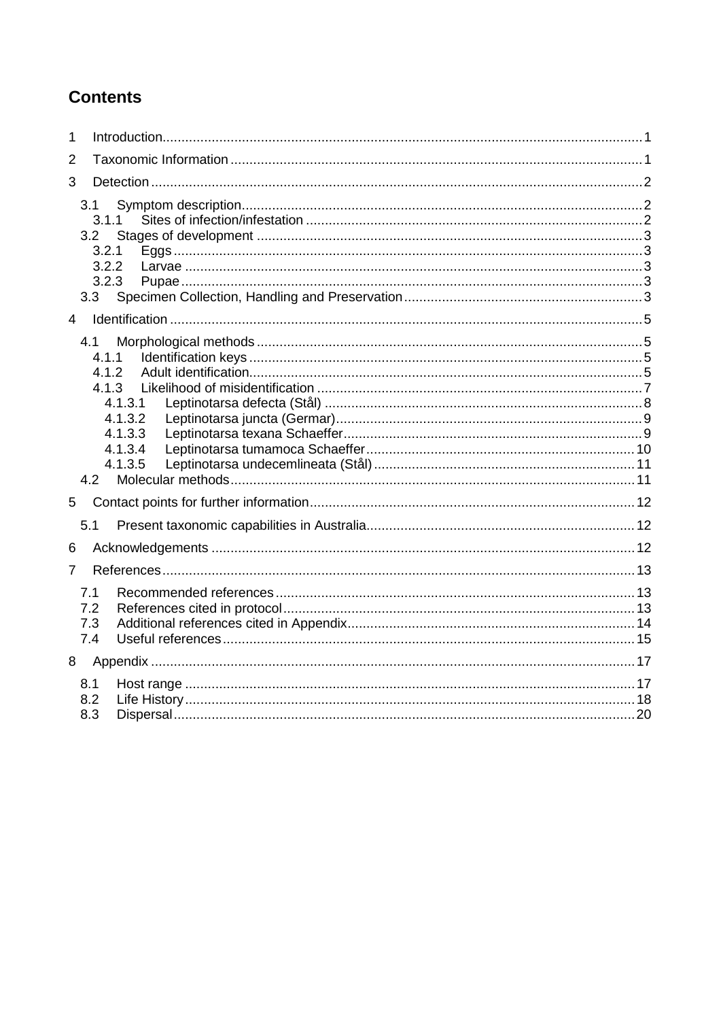# **Contents**

| 1              |                          |                                                                                |  |  |  |  |
|----------------|--------------------------|--------------------------------------------------------------------------------|--|--|--|--|
| $\overline{2}$ |                          |                                                                                |  |  |  |  |
| 3              |                          |                                                                                |  |  |  |  |
|                | 3.1<br>3.2<br>3.3        | 3.1.1<br>3.2.1<br>3.2.2<br>3.2.3                                               |  |  |  |  |
| $\overline{4}$ |                          |                                                                                |  |  |  |  |
|                | 4.1                      | 4.1.1<br>4.1.2<br>4.1.3<br>4.1.3.1<br>4.1.3.2<br>4.1.3.3<br>4.1.3.4<br>4.1.3.5 |  |  |  |  |
| 5              |                          |                                                                                |  |  |  |  |
|                | 5.1                      |                                                                                |  |  |  |  |
| 6              |                          |                                                                                |  |  |  |  |
| 7              |                          |                                                                                |  |  |  |  |
|                | 7.1<br>7.2<br>7.3<br>7.4 |                                                                                |  |  |  |  |
| 8              |                          |                                                                                |  |  |  |  |
|                | 8.1<br>8.2<br>8.3        |                                                                                |  |  |  |  |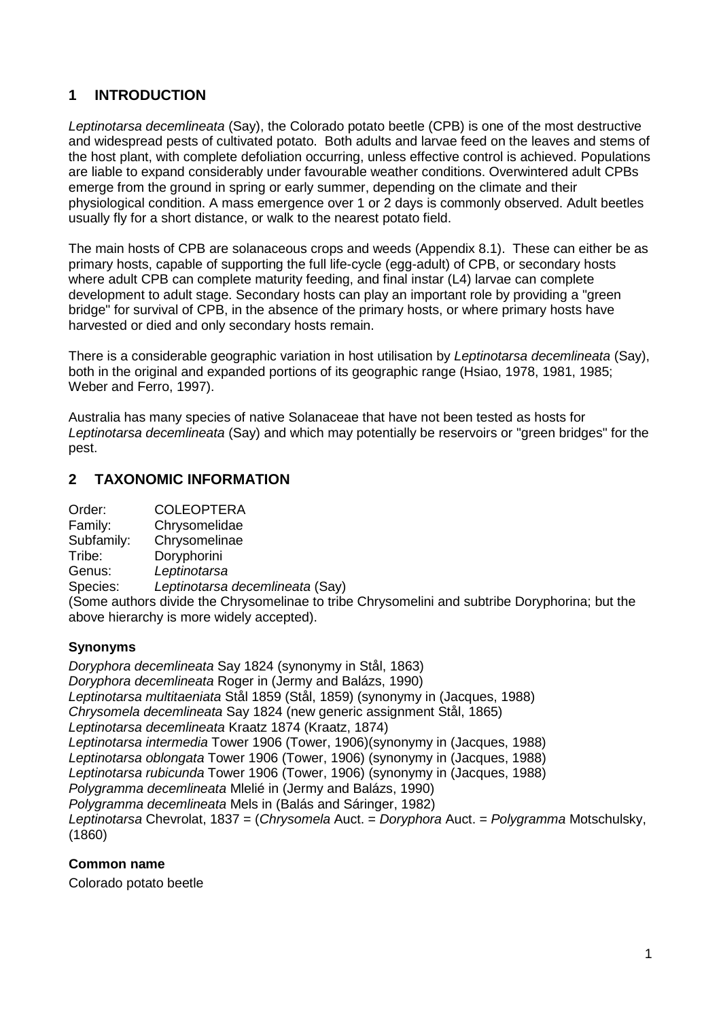# <span id="page-3-0"></span>**1 INTRODUCTION**

*Leptinotarsa decemlineata* (Say), the Colorado potato beetle (CPB) is one of the most destructive and widespread pests of cultivated potato. Both adults and larvae feed on the leaves and stems of the host plant, with complete defoliation occurring, unless effective control is achieved. Populations are liable to expand considerably under favourable weather conditions. Overwintered adult CPBs emerge from the ground in spring or early summer, depending on the climate and their physiological condition. A mass emergence over 1 or 2 days is commonly observed. Adult beetles usually fly for a short distance, or walk to the nearest potato field.

The main hosts of CPB are solanaceous crops and weeds (Appendix 8.1). These can either be as primary hosts, capable of supporting the full life-cycle (egg-adult) of CPB, or secondary hosts where adult CPB can complete maturity feeding, and final instar (L4) larvae can complete development to adult stage. Secondary hosts can play an important role by providing a "green bridge" for survival of CPB, in the absence of the primary hosts, or where primary hosts have harvested or died and only secondary hosts remain.

There is a considerable geographic variation in host utilisation by *Leptinotarsa decemlineata* (Say), both in the original and expanded portions of its geographic range (Hsiao, 1978, 1981, 1985; Weber and Ferro, 1997).

Australia has many species of native Solanaceae that have not been tested as hosts for *Leptinotarsa decemlineata* (Say) and which may potentially be reservoirs or "green bridges" for the pest.

# <span id="page-3-1"></span>**2 TAXONOMIC INFORMATION**

Family: Chrysomelidae<br>Subfamily: Chrysomelinae

**Chrysomelinae** 

Tribe: Doryphorini

Genus: *Leptinotarsa*

Species: *Leptinotarsa decemlineata* (Say)

(Some authors divide the Chrysomelinae to tribe Chrysomelini and subtribe Doryphorina; but the above hierarchy is more widely accepted).

# **Synonyms**

*Doryphora decemlineata* Say 1824 (synonymy in Stål, 1863) *Doryphora decemlineata* Roger in (Jermy and Balázs, 1990) *Leptinotarsa multitaeniata* Stål 1859 (Stål, 1859) (synonymy in (Jacques, 1988) *Chrysomela decemlineata* Say 1824 (new generic assignment Stål, 1865) *Leptinotarsa decemlineata* Kraatz 1874 (Kraatz, 1874) *Leptinotarsa intermedia* Tower 1906 (Tower, 1906)(synonymy in (Jacques, 1988) *Leptinotarsa oblongata* Tower 1906 (Tower, 1906) (synonymy in (Jacques, 1988) *Leptinotarsa rubicunda* Tower 1906 (Tower, 1906) (synonymy in (Jacques, 1988) *Polygramma decemlineata* Mlelié in (Jermy and Balázs, 1990) *Polygramma decemlineata* Mels in (Balás and Sáringer, 1982) *Leptinotarsa* Chevrolat, 1837 = (*Chrysomela* Auct. = *Doryphora* Auct. = *Polygramma* Motschulsky, (1860)

# **Common name**

Colorado potato beetle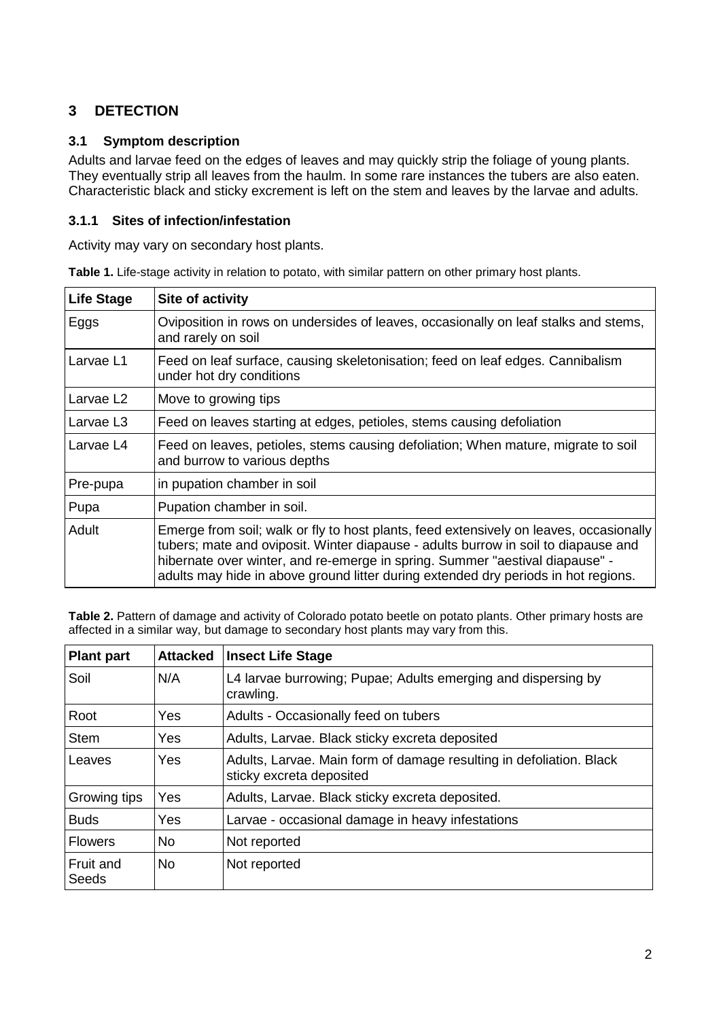# <span id="page-4-0"></span>**3 DETECTION**

# <span id="page-4-1"></span>**3.1 Symptom description**

Adults and larvae feed on the edges of leaves and may quickly strip the foliage of young plants. They eventually strip all leaves from the haulm. In some rare instances the tubers are also eaten. Characteristic black and sticky excrement is left on the stem and leaves by the larvae and adults.

## <span id="page-4-2"></span>**3.1.1 Sites of infection/infestation**

Activity may vary on secondary host plants.

| <b>Life Stage</b>     | Site of activity                                                                                                                                                                                                                                                                                                                                   |  |
|-----------------------|----------------------------------------------------------------------------------------------------------------------------------------------------------------------------------------------------------------------------------------------------------------------------------------------------------------------------------------------------|--|
| Eggs                  | Oviposition in rows on undersides of leaves, occasionally on leaf stalks and stems,<br>and rarely on soil                                                                                                                                                                                                                                          |  |
| Larvae L1             | Feed on leaf surface, causing skeletonisation; feed on leaf edges. Cannibalism<br>under hot dry conditions                                                                                                                                                                                                                                         |  |
| Larvae L <sub>2</sub> | Move to growing tips                                                                                                                                                                                                                                                                                                                               |  |
| Larvae L <sub>3</sub> | Feed on leaves starting at edges, petioles, stems causing defoliation                                                                                                                                                                                                                                                                              |  |
| Larvae L4             | Feed on leaves, petioles, stems causing defoliation; When mature, migrate to soil<br>and burrow to various depths                                                                                                                                                                                                                                  |  |
| Pre-pupa              | in pupation chamber in soil                                                                                                                                                                                                                                                                                                                        |  |
| Pupa                  | Pupation chamber in soil.                                                                                                                                                                                                                                                                                                                          |  |
| Adult                 | Emerge from soil; walk or fly to host plants, feed extensively on leaves, occasionally<br>tubers; mate and oviposit. Winter diapause - adults burrow in soil to diapause and<br>hibernate over winter, and re-emerge in spring. Summer "aestival diapause" -<br>adults may hide in above ground litter during extended dry periods in hot regions. |  |

**Table 1.** Life-stage activity in relation to potato, with similar pattern on other primary host plants.

Table 2. Pattern of damage and activity of Colorado potato beetle on potato plants. Other primary hosts are affected in a similar way, but damage to secondary host plants may vary from this.

| <b>Plant part</b>   | <b>Attacked</b> | <b>Insect Life Stage</b>                                                                        |  |
|---------------------|-----------------|-------------------------------------------------------------------------------------------------|--|
| Soil                | N/A             | L4 larvae burrowing; Pupae; Adults emerging and dispersing by<br>crawling.                      |  |
| Root                | <b>Yes</b>      | Adults - Occasionally feed on tubers                                                            |  |
| Stem                | <b>Yes</b>      | Adults, Larvae. Black sticky excreta deposited                                                  |  |
| Leaves              | Yes             | Adults, Larvae. Main form of damage resulting in defoliation. Black<br>sticky excreta deposited |  |
| <b>Growing tips</b> | Yes             | Adults, Larvae. Black sticky excreta deposited.                                                 |  |
| <b>Buds</b>         | <b>Yes</b>      | Larvae - occasional damage in heavy infestations                                                |  |
| <b>Flowers</b>      | <b>No</b>       | Not reported                                                                                    |  |
| Fruit and<br>Seeds  | <b>No</b>       | Not reported                                                                                    |  |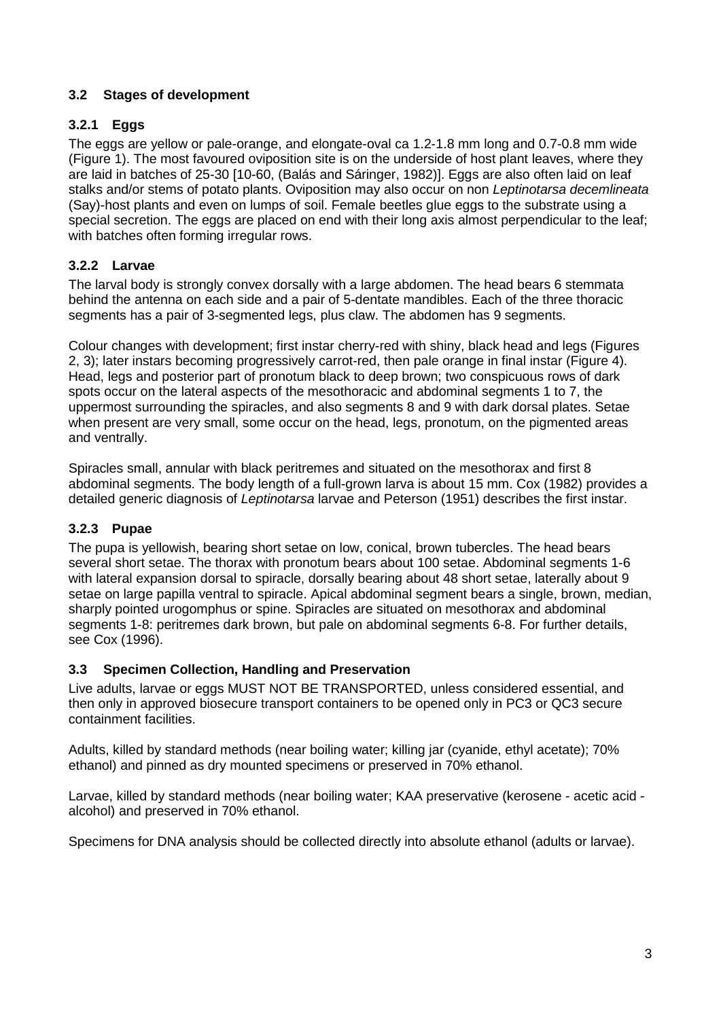# <span id="page-5-0"></span>**3.2 Stages of development**

# <span id="page-5-1"></span>**3.2.1 Eggs**

The eggs are yellow or pale-orange, and elongate-oval ca 1.2-1.8 mm long and 0.7-0.8 mm wide (Figure 1). The most favoured oviposition site is on the underside of host plant leaves, where they are laid in batches of 25-30 [10-60, (Balás and Sáringer, 1982)]. Eggs are also often laid on leaf stalks and/or stems of potato plants. Oviposition may also occur on non *Leptinotarsa decemlineata* (Say)-host plants and even on lumps of soil. Female beetles glue eggs to the substrate using a special secretion. The eggs are placed on end with their long axis almost perpendicular to the leaf; with batches often forming irregular rows.

# <span id="page-5-2"></span>**3.2.2 Larvae**

The larval body is strongly convex dorsally with a large abdomen. The head bears 6 stemmata behind the antenna on each side and a pair of 5-dentate mandibles. Each of the three thoracic segments has a pair of 3-segmented legs, plus claw. The abdomen has 9 segments.

Colour changes with development; first instar cherry-red with shiny, black head and legs (Figures 2, 3); later instars becoming progressively carrot-red, then pale orange in final instar (Figure 4). Head, legs and posterior part of pronotum black to deep brown; two conspicuous rows of dark spots occur on the lateral aspects of the mesothoracic and abdominal segments 1 to 7, the uppermost surrounding the spiracles, and also segments 8 and 9 with dark dorsal plates. Setae when present are very small, some occur on the head, legs, pronotum, on the pigmented areas and ventrally.

Spiracles small, annular with black peritremes and situated on the mesothorax and first 8 abdominal segments. The body length of a full-grown larva is about 15 mm. Cox (1982) provides a detailed generic diagnosis of *Leptinotarsa* larvae and Peterson (1951) describes the first instar.

# <span id="page-5-3"></span>**3.2.3 Pupae**

The pupa is yellowish, bearing short setae on low, conical, brown tubercles. The head bears several short setae. The thorax with pronotum bears about 100 setae. Abdominal segments 1-6 with lateral expansion dorsal to spiracle, dorsally bearing about 48 short setae, laterally about 9 setae on large papilla ventral to spiracle. Apical abdominal segment bears a single, brown, median, sharply pointed urogomphus or spine. Spiracles are situated on mesothorax and abdominal segments 1-8: peritremes dark brown, but pale on abdominal segments 6-8. For further details, see Cox (1996).

# <span id="page-5-4"></span>**3.3 Specimen Collection, Handling and Preservation**

Live adults, larvae or eggs MUST NOT BE TRANSPORTED, unless considered essential, and then only in approved biosecure transport containers to be opened only in PC3 or QC3 secure containment facilities.

Adults, killed by standard methods (near boiling water; killing jar (cyanide, ethyl acetate); 70% ethanol) and pinned as dry mounted specimens or preserved in 70% ethanol.

Larvae, killed by standard methods (near boiling water; KAA preservative (kerosene - acetic acid alcohol) and preserved in 70% ethanol.

Specimens for DNA analysis should be collected directly into absolute ethanol (adults or larvae).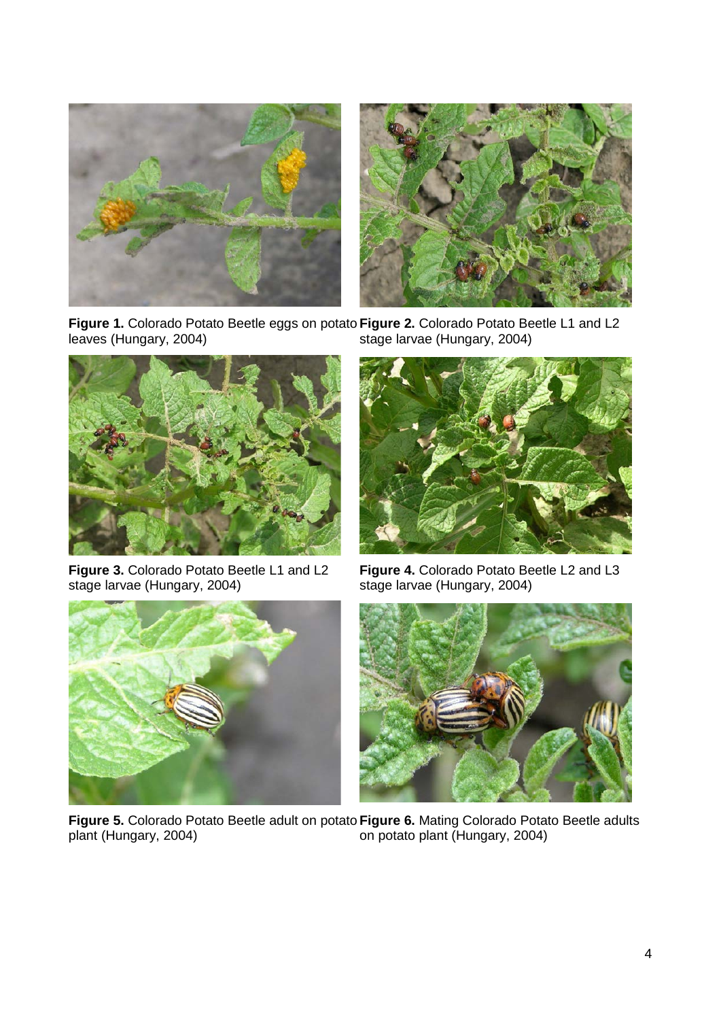



**Figure 1.** Colorado Potato Beetle eggs on potato Figure 2. Colorado Potato Beetle L1 and L2 leaves (Hungary, 2004) stage larvae (Hungary, 2004)



**Figure 3.** Colorado Potato Beetle L1 and L2 stage larvae (Hungary, 2004)



**Figure 4.** Colorado Potato Beetle L2 and L3 stage larvae (Hungary, 2004)





**Figure 5.** Colorado Potato Beetle adult on potato **Figure 6.** Mating Colorado Potato Beetle adults plant (Hungary, 2004) on potato plant (Hungary, 2004)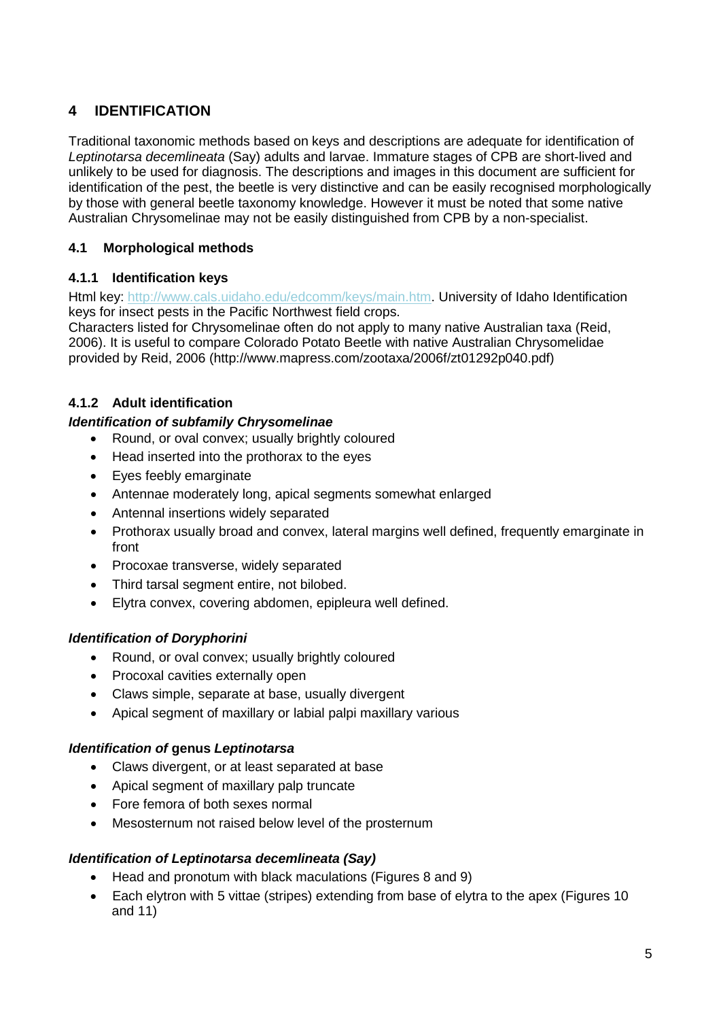# <span id="page-7-0"></span>**4 IDENTIFICATION**

Traditional taxonomic methods based on keys and descriptions are adequate for identification of *Leptinotarsa decemlineata* (Say) adults and larvae. Immature stages of CPB are short-lived and unlikely to be used for diagnosis. The descriptions and images in this document are sufficient for identification of the pest, the beetle is very distinctive and can be easily recognised morphologically by those with general beetle taxonomy knowledge. However it must be noted that some native Australian Chrysomelinae may not be easily distinguished from CPB by a non-specialist.

# <span id="page-7-1"></span>**4.1 Morphological methods**

# <span id="page-7-2"></span>**4.1.1 Identification keys**

Html key: [http://www.cals.uidaho.edu/edcomm/keys/main.htm.](http://www.cals.uidaho.edu/edcomm/keys/main.htm) University of Idaho Identification keys for insect pests in the Pacific Northwest field crops.

Characters listed for Chrysomelinae often do not apply to many native Australian taxa (Reid, 2006). It is useful to compare Colorado Potato Beetle with native Australian Chrysomelidae provided by Reid, 2006 (http://www.mapress.com/zootaxa/2006f/zt01292p040.pdf)

# <span id="page-7-3"></span>**4.1.2 Adult identification**

# *Identification of subfamily Chrysomelinae*

- Round, or oval convex; usually brightly coloured
- Head inserted into the prothorax to the eyes
- Eyes feebly emarginate
- Antennae moderately long, apical segments somewhat enlarged
- Antennal insertions widely separated
- Prothorax usually broad and convex, lateral margins well defined, frequently emarginate in front
- Procoxae transverse, widely separated
- Third tarsal segment entire, not bilobed.
- Elytra convex, covering abdomen, epipleura well defined.

# *Identification of Doryphorini*

- Round, or oval convex; usually brightly coloured
- Procoxal cavities externally open
- Claws simple, separate at base, usually divergent
- Apical segment of maxillary or labial palpi maxillary various

# *Identification of* **genus** *Leptinotarsa*

- Claws divergent, or at least separated at base
- Apical segment of maxillary palp truncate
- Fore femora of both sexes normal
- Mesosternum not raised below level of the prosternum

# *Identification of Leptinotarsa decemlineata (Say)*

- Head and pronotum with black maculations (Figures 8 and 9)
- Each elytron with 5 vittae (stripes) extending from base of elytra to the apex (Figures 10 and 11)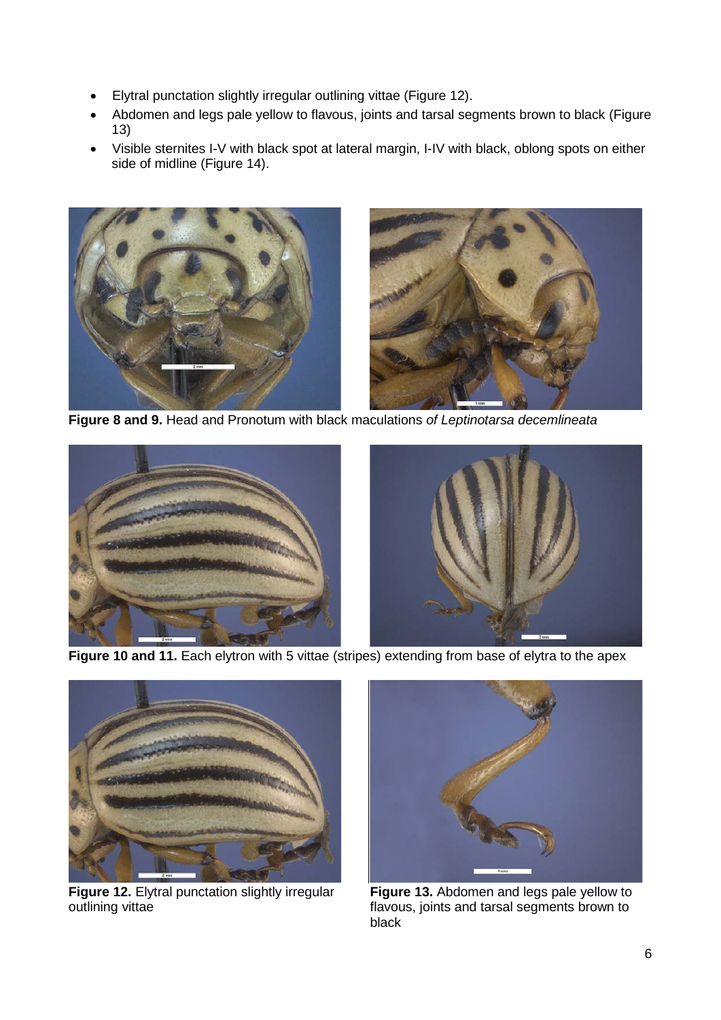- Elytral punctation slightly irregular outlining vittae (Figure 12).
- Abdomen and legs pale yellow to flavous, joints and tarsal segments brown to black (Figure 13)
- Visible sternites I-V with black spot at lateral margin, I-IV with black, oblong spots on either side of midline (Figure 14).



**Figure 8 and 9.** Head and Pronotum with black maculations *of Leptinotarsa decemlineata*



**Figure 10 and 11.** Each elytron with 5 vittae (stripes) extending from base of elytra to the apex



**Figure 12.** Elytral punctation slightly irregular outlining vittae



**Figure 13.** Abdomen and legs pale yellow to flavous, joints and tarsal segments brown to black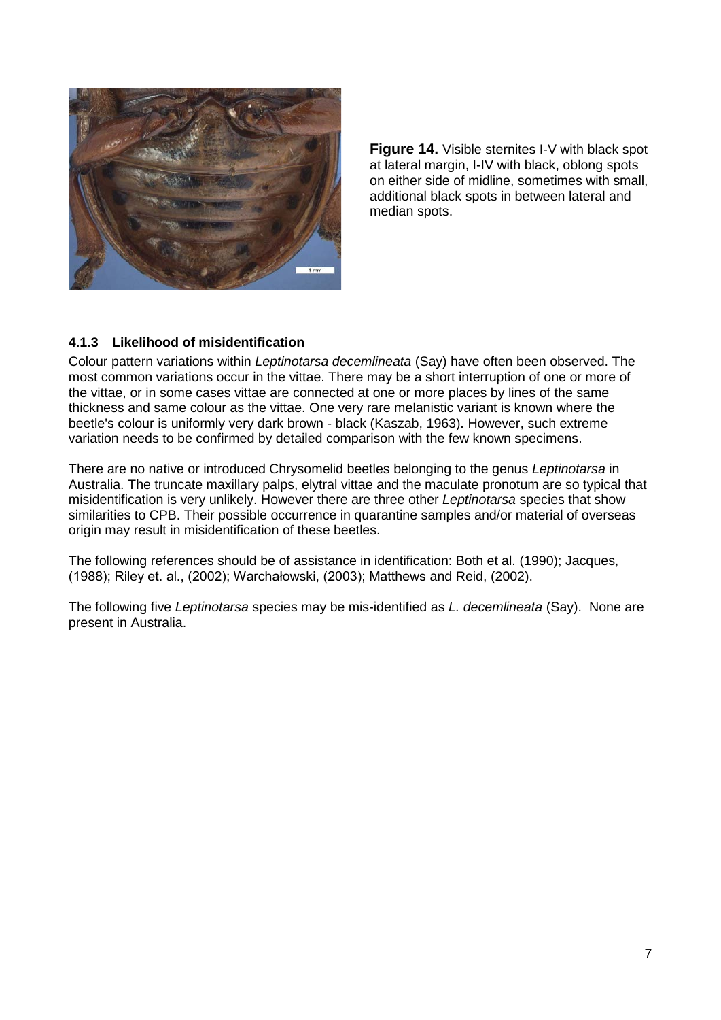

**Figure 14.** Visible sternites I-V with black spot at lateral margin, I-IV with black, oblong spots on either side of midline, sometimes with small, additional black spots in between lateral and median spots.

## <span id="page-9-0"></span>**4.1.3 Likelihood of misidentification**

Colour pattern variations within *Leptinotarsa decemlineata* (Say) have often been observed. The most common variations occur in the vittae. There may be a short interruption of one or more of the vittae, or in some cases vittae are connected at one or more places by lines of the same thickness and same colour as the vittae. One very rare melanistic variant is known where the beetle's colour is uniformly very dark brown - black (Kaszab, 1963). However, such extreme variation needs to be confirmed by detailed comparison with the few known specimens.

There are no native or introduced Chrysomelid beetles belonging to the genus *Leptinotarsa* in Australia. The truncate maxillary palps, elytral vittae and the maculate pronotum are so typical that misidentification is very unlikely. However there are three other *Leptinotarsa* species that show similarities to CPB. Their possible occurrence in quarantine samples and/or material of overseas origin may result in misidentification of these beetles.

The following references should be of assistance in identification: Both et al. (1990); Jacques, (1988); Riley et. al., (2002); Warchałowski, (2003); Matthews and Reid, (2002).

The following five *Leptinotarsa* species may be mis-identified as *L. decemlineata* (Say). None are present in Australia.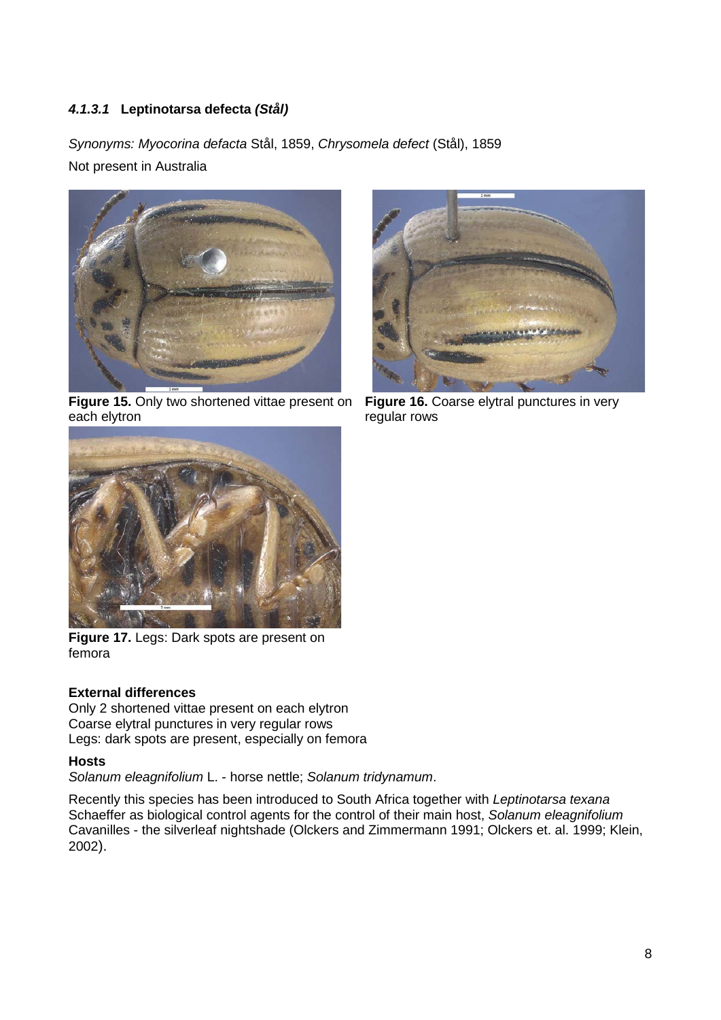# <span id="page-10-0"></span>*4.1.3.1* **Leptinotarsa defecta** *(Stål)*

*Synonyms: Myocorina defacta* Stål, 1859, *Chrysomela defect* (Stål), 1859 Not present in Australia



**Figure 15.** Only two shortened vittae present on each elytron



**Figure 16.** Coarse elytral punctures in very regular rows



**Figure 17.** Legs: Dark spots are present on femora

## **External differences**

Only 2 shortened vittae present on each elytron Coarse elytral punctures in very regular rows Legs: dark spots are present, especially on femora

# **Hosts**

*Solanum eleagnifolium* L. - horse nettle; *Solanum tridynamum*.

Recently this species has been introduced to South Africa together with *Leptinotarsa texana* Schaeffer as biological control agents for the control of their main host, *Solanum eleagnifolium* Cavanilles - the silverleaf nightshade (Olckers and Zimmermann 1991; Olckers et. al. 1999; Klein, 2002).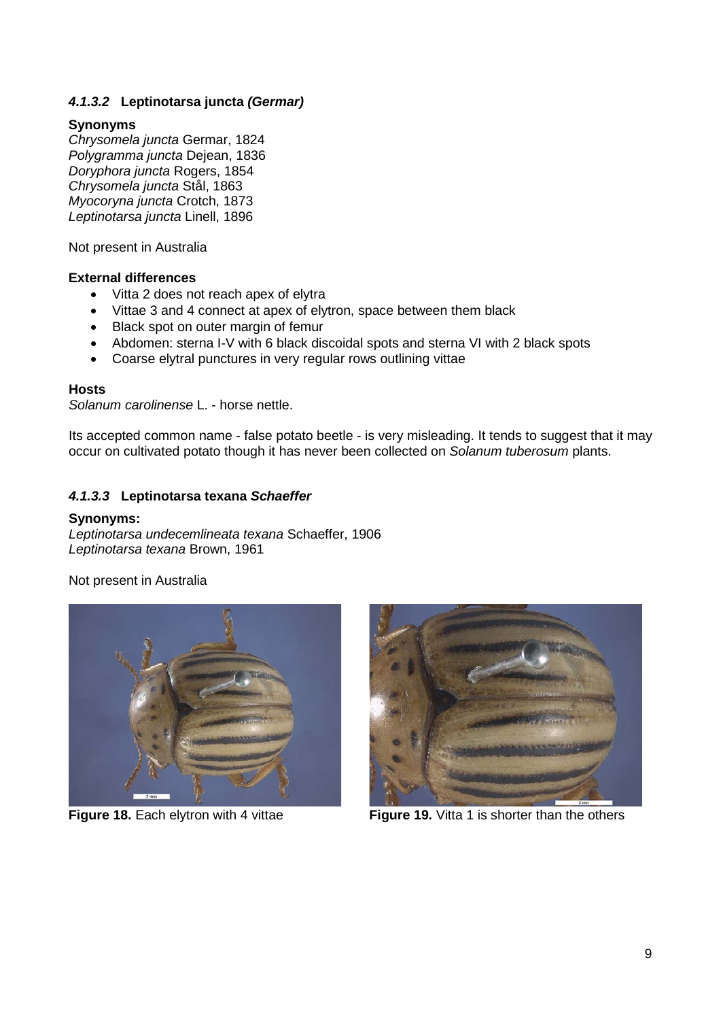# <span id="page-11-0"></span>*4.1.3.2* **Leptinotarsa juncta** *(Germar)*

#### **Synonyms**

*Chrysomela juncta* Germar, 1824 *Polygramma juncta* Dejean, 1836 *Doryphora juncta* Rogers, 1854 *Chrysomela juncta* Stål, 1863 *Myocoryna juncta* Crotch, 1873 *Leptinotarsa juncta* Linell, 1896

Not present in Australia

#### **External differences**

- Vitta 2 does not reach apex of elytra
- Vittae 3 and 4 connect at apex of elytron, space between them black
- Black spot on outer margin of femur
- Abdomen: sterna I-V with 6 black discoidal spots and sterna VI with 2 black spots
- Coarse elytral punctures in very regular rows outlining vittae

#### **Hosts**

*Solanum carolinense* L. - horse nettle.

Its accepted common name - false potato beetle - is very misleading. It tends to suggest that it may occur on cultivated potato though it has never been collected on *Solanum tuberosum* plants.

## <span id="page-11-1"></span>*4.1.3.3* **Leptinotarsa texana** *Schaeffer*

#### **Synonyms:**

*Leptinotarsa undecemlineata texana* Schaeffer, 1906 *Leptinotarsa texana* Brown, 1961

Not present in Australia





**Figure 18.** Each elytron with 4 vittae **Figure 19.** Vitta 1 is shorter than the others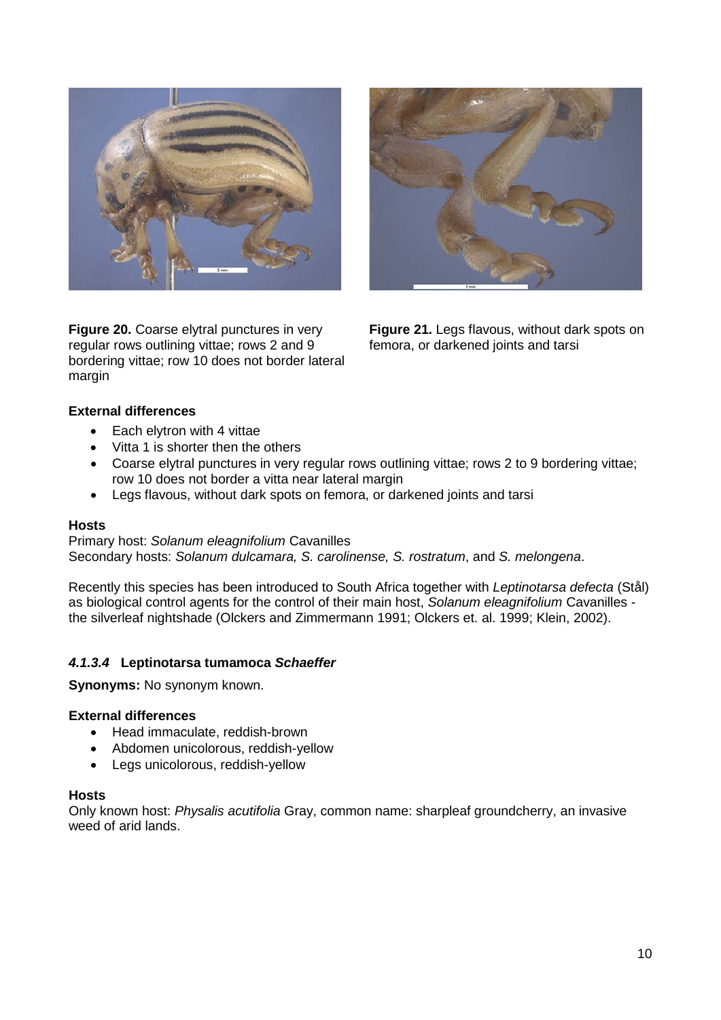

**Figure 20.** Coarse elytral punctures in very regular rows outlining vittae; rows 2 and 9 bordering vittae; row 10 does not border lateral margin



**Figure 21.** Legs flavous, without dark spots on femora, or darkened joints and tarsi

## **External differences**

- Each elytron with 4 vittae
- Vitta 1 is shorter then the others
- Coarse elytral punctures in very regular rows outlining vittae; rows 2 to 9 bordering vittae; row 10 does not border a vitta near lateral margin
- Legs flavous, without dark spots on femora, or darkened joints and tarsi

## **Hosts**

Primary host: *Solanum eleagnifolium* Cavanilles Secondary hosts: *Solanum dulcamara, S. carolinense, S. rostratum*, and *S. melongena*.

Recently this species has been introduced to South Africa together with *Leptinotarsa defecta* (Stål) as biological control agents for the control of their main host, *Solanum eleagnifolium* Cavanilles the silverleaf nightshade (Olckers and Zimmermann 1991; Olckers et. al. 1999; Klein, 2002).

# <span id="page-12-0"></span>*4.1.3.4* **Leptinotarsa tumamoca** *Schaeffer*

**Synonyms:** No synonym known.

## **External differences**

- Head immaculate, reddish-brown
- Abdomen unicolorous, reddish-yellow
- Legs unicolorous, reddish-yellow

#### **Hosts**

Only known host: *Physalis acutifolia* Gray, common name: sharpleaf groundcherry, an invasive weed of arid lands.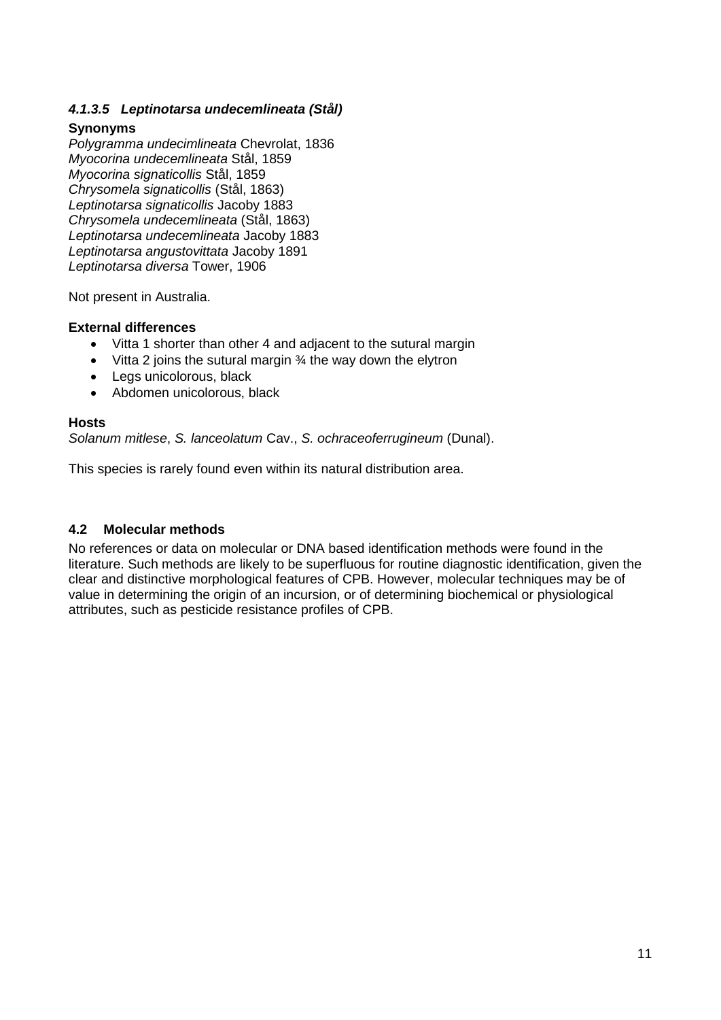# <span id="page-13-0"></span>*4.1.3.5 Leptinotarsa undecemlineata (Stål)*

## **Synonyms**

*Polygramma undecimlineata* Chevrolat, 1836 *Myocorina undecemlineata* Stål, 1859 *Myocorina signaticollis* Stål, 1859 *Chrysomela signaticollis* (Stål, 1863) *Leptinotarsa signaticollis* Jacoby 1883 *Chrysomela undecemlineata* (Stål, 1863) *Leptinotarsa undecemlineata* Jacoby 1883 *Leptinotarsa angustovittata* Jacoby 1891 *Leptinotarsa diversa* Tower, 1906

Not present in Australia.

## **External differences**

- Vitta 1 shorter than other 4 and adjacent to the sutural margin
- Vitta 2 joins the sutural margin  $\frac{3}{4}$  the way down the elytron
- Legs unicolorous, black
- Abdomen unicolorous, black

## **Hosts**

*Solanum mitlese*, *S. lanceolatum* Cav., *S. ochraceoferrugineum* (Dunal).

This species is rarely found even within its natural distribution area.

# <span id="page-13-1"></span>**4.2 Molecular methods**

No references or data on molecular or DNA based identification methods were found in the literature. Such methods are likely to be superfluous for routine diagnostic identification, given the clear and distinctive morphological features of CPB. However, molecular techniques may be of value in determining the origin of an incursion, or of determining biochemical or physiological attributes, such as pesticide resistance profiles of CPB.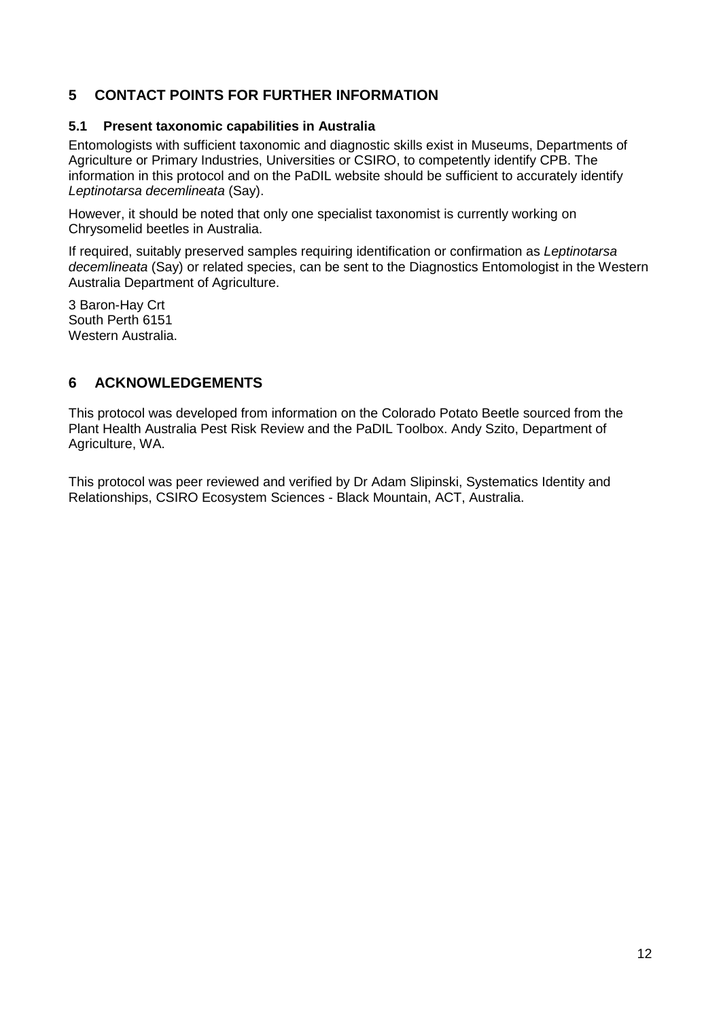# <span id="page-14-0"></span>**5 CONTACT POINTS FOR FURTHER INFORMATION**

## <span id="page-14-1"></span>**5.1 Present taxonomic capabilities in Australia**

Entomologists with sufficient taxonomic and diagnostic skills exist in Museums, Departments of Agriculture or Primary Industries, Universities or CSIRO, to competently identify CPB. The information in this protocol and on the PaDIL website should be sufficient to accurately identify *Leptinotarsa decemlineata* (Say).

However, it should be noted that only one specialist taxonomist is currently working on Chrysomelid beetles in Australia.

If required, suitably preserved samples requiring identification or confirmation as *Leptinotarsa decemlineata* (Say) or related species, can be sent to the Diagnostics Entomologist in the Western Australia Department of Agriculture.

3 Baron-Hay Crt South Perth 6151 Western Australia.

# <span id="page-14-2"></span>**6 ACKNOWLEDGEMENTS**

This protocol was developed from information on the Colorado Potato Beetle sourced from the Plant Health Australia Pest Risk Review and the PaDIL Toolbox. Andy Szito, Department of Agriculture, WA.

This protocol was peer reviewed and verified by Dr Adam Slipinski, Systematics Identity and Relationships, CSIRO Ecosystem Sciences - Black Mountain, ACT, Australia.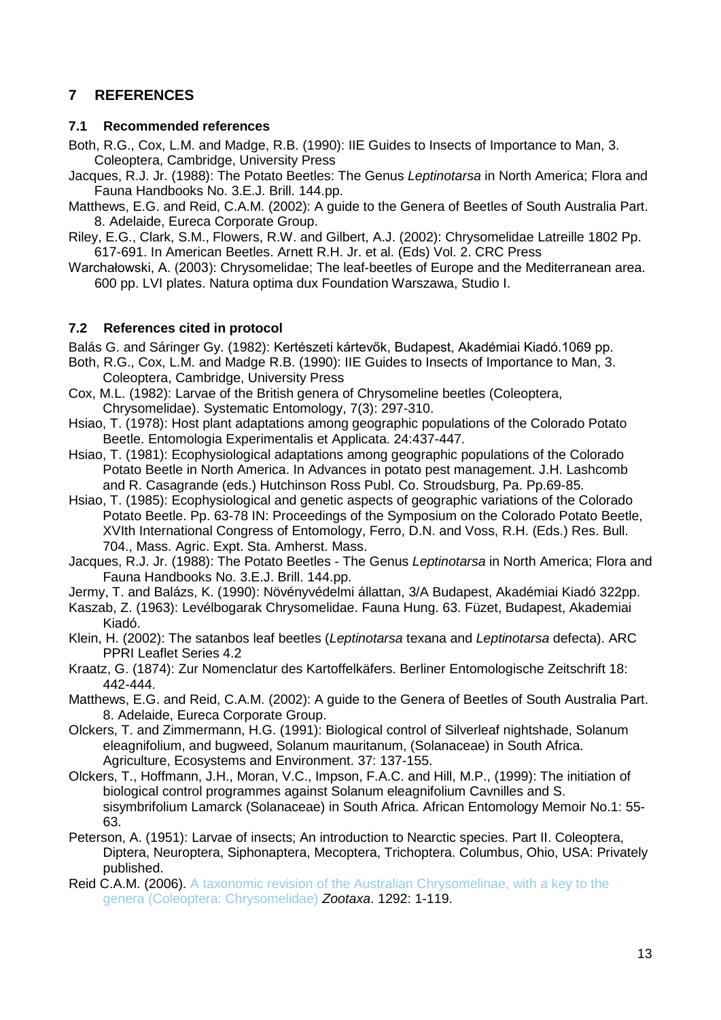# <span id="page-15-0"></span>**7 REFERENCES**

## <span id="page-15-1"></span>**7.1 Recommended references**

- Both, R.G., Cox, L.M. and Madge, R.B. (1990): IIE Guides to Insects of Importance to Man, 3. Coleoptera, Cambridge, University Press
- Jacques, R.J. Jr. (1988): The Potato Beetles: The Genus *Leptinotarsa* in North America; Flora and Fauna Handbooks No. 3.E.J. Brill. 144.pp.
- Matthews, E.G. and Reid, C.A.M. (2002): A guide to the Genera of Beetles of South Australia Part. 8. Adelaide, Eureca Corporate Group.
- Riley, E.G., Clark, S.M., Flowers, R.W. and Gilbert, A.J. (2002): Chrysomelidae Latreille 1802 Pp. 617-691. In American Beetles. Arnett R.H. Jr. et al. (Eds) Vol. 2. CRC Press
- Warchałowski, A. (2003): Chrysomelidae; The leaf-beetles of Europe and the Mediterranean area. 600 pp. LVI plates. Natura optima dux Foundation Warszawa, Studio I.

# <span id="page-15-2"></span>**7.2 References cited in protocol**

Balás G. and Sáringer Gy. (1982): Kertészeti kártevők, Budapest, Akadémiai Kiadó.1069 pp.

- Both, R.G., Cox, L.M. and Madge R.B. (1990): IIE Guides to Insects of Importance to Man, 3. Coleoptera, Cambridge, University Press
- Cox, M.L. (1982): Larvae of the British genera of Chrysomeline beetles (Coleoptera, Chrysomelidae). Systematic Entomology, 7(3): 297-310.
- Hsiao, T. (1978): Host plant adaptations among geographic populations of the Colorado Potato Beetle. Entomologia Experimentalis et Applicata. 24:437-447.
- Hsiao, T. (1981): Ecophysiological adaptations among geographic populations of the Colorado Potato Beetle in North America. In Advances in potato pest management. J.H. Lashcomb and R. Casagrande (eds.) Hutchinson Ross Publ. Co. Stroudsburg, Pa. Pp.69-85.
- Hsiao, T. (1985): Ecophysiological and genetic aspects of geographic variations of the Colorado Potato Beetle. Pp. 63-78 IN: Proceedings of the Symposium on the Colorado Potato Beetle, XVIth International Congress of Entomology, Ferro, D.N. and Voss, R.H. (Eds.) Res. Bull. 704., Mass. Agric. Expt. Sta. Amherst. Mass.
- Jacques, R.J. Jr. (1988): The Potato Beetles The Genus *Leptinotarsa* in North America; Flora and Fauna Handbooks No. 3.E.J. Brill. 144.pp.

Jermy, T. and Balázs, K. (1990): Növényvédelmi állattan, 3/A Budapest, Akadémiai Kiadó 322pp.

- Kaszab, Z. (1963): Levélbogarak Chrysomelidae. Fauna Hung. 63. Füzet, Budapest, Akademiai Kiadó.
- Klein, H. (2002): The satanbos leaf beetles (*Leptinotarsa* texana and *Leptinotarsa* defecta). ARC PPRI Leaflet Series 4.2

Kraatz, G. (1874): Zur Nomenclatur des Kartoffelkäfers. Berliner Entomologische Zeitschrift 18: 442-444.

Matthews, E.G. and Reid, C.A.M. (2002): A guide to the Genera of Beetles of South Australia Part. 8. Adelaide, Eureca Corporate Group.

- Olckers, T. and Zimmermann, H.G. (1991): Biological control of Silverleaf nightshade, Solanum eleagnifolium, and bugweed, Solanum mauritanum, (Solanaceae) in South Africa. Agriculture, Ecosystems and Environment. 37: 137-155.
- Olckers, T., Hoffmann, J.H., Moran, V.C., Impson, F.A.C. and Hill, M.P., (1999): The initiation of biological control programmes against Solanum eleagnifolium Cavnilles and S. sisymbrifolium Lamarck (Solanaceae) in South Africa. African Entomology Memoir No.1: 55- 63.
- Peterson, A. (1951): Larvae of insects; An introduction to Nearctic species. Part II. Coleoptera, Diptera, Neuroptera, Siphonaptera, Mecoptera, Trichoptera. Columbus, Ohio, USA: Privately published.
- Reid C.A.M. (2006). [A taxonomic revision of the Australian Chrysomelinae, with a key to the](http://australianmuseum.net.au/publication/2006-A-taxonomic-revision-of-the-Australian-Chrysomelinae-with-a-key-to-the-genera-Coleoptera-Chrysomelidae)  [genera \(Coleoptera: Chrysomelidae\)](http://australianmuseum.net.au/publication/2006-A-taxonomic-revision-of-the-Australian-Chrysomelinae-with-a-key-to-the-genera-Coleoptera-Chrysomelidae) *Zootaxa*. 1292: 1-119.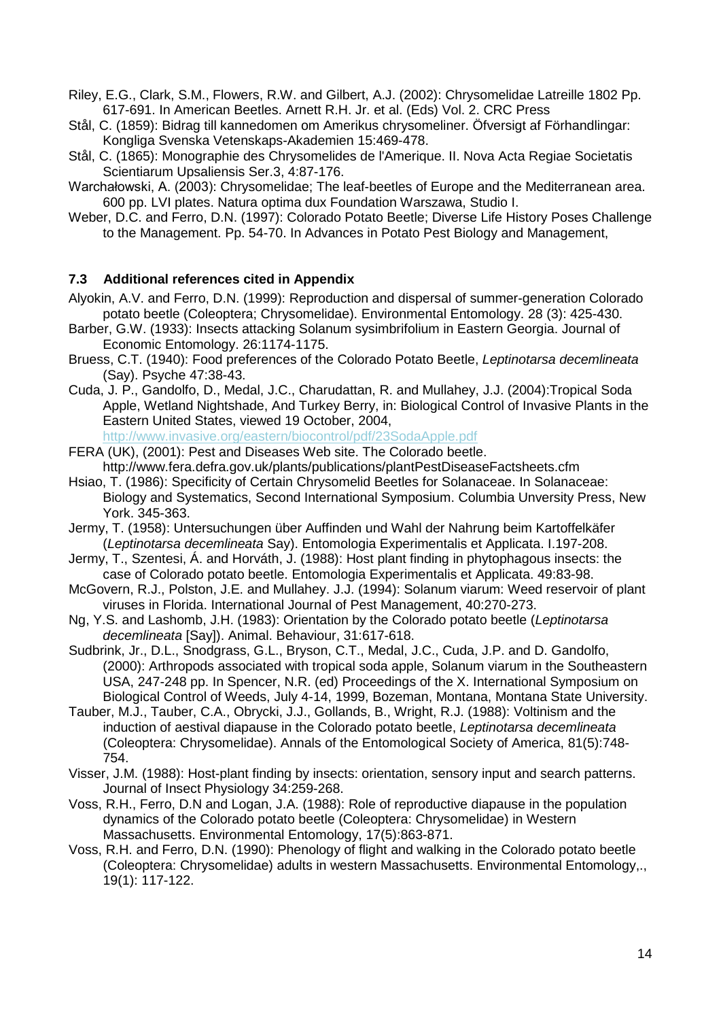Riley, E.G., Clark, S.M., Flowers, R.W. and Gilbert, A.J. (2002): Chrysomelidae Latreille 1802 Pp. 617-691. In American Beetles. Arnett R.H. Jr. et al. (Eds) Vol. 2. CRC Press

- Stål, C. (1859): Bidrag till kannedomen om Amerikus chrysomeliner. Öfversigt af Förhandlingar: Kongliga Svenska Vetenskaps-Akademien 15:469-478.
- Stål, C. (1865): Monographie des Chrysomelides de l'Amerique. II. Nova Acta Regiae Societatis Scientiarum Upsaliensis Ser.3, 4:87-176.
- Warchałowski, A. (2003): Chrysomelidae; The leaf-beetles of Europe and the Mediterranean area. 600 pp. LVI plates. Natura optima dux Foundation Warszawa, Studio I.
- Weber, D.C. and Ferro, D.N. (1997): Colorado Potato Beetle; Diverse Life History Poses Challenge to the Management. Pp. 54-70. In Advances in Potato Pest Biology and Management,

## <span id="page-16-0"></span>**7.3 Additional references cited in Appendix**

- Alyokin, A.V. and Ferro, D.N. (1999): Reproduction and dispersal of summer-generation Colorado potato beetle (Coleoptera; Chrysomelidae). Environmental Entomology. 28 (3): 425-430.
- Barber, G.W. (1933): Insects attacking Solanum sysimbrifolium in Eastern Georgia. Journal of Economic Entomology. 26:1174-1175.
- Bruess, C.T. (1940): Food preferences of the Colorado Potato Beetle, *Leptinotarsa decemlineata*  (Say). Psyche 47:38-43.
- Cuda, J. P., Gandolfo, D., Medal, J.C., Charudattan, R. and Mullahey, J.J. (2004):Tropical Soda Apple, Wetland Nightshade, And Turkey Berry, in: Biological Control of Invasive Plants in the Eastern United States, viewed 19 October, 2004,

<http://www.invasive.org/eastern/biocontrol/pdf/23SodaApple.pdf>

- FERA (UK), (2001): Pest and Diseases Web site. The Colorado beetle. http://www.fera.defra.gov.uk/plants/publications/plantPestDiseaseFactsheets.cfm
- Hsiao, T. (1986): Specificity of Certain Chrysomelid Beetles for Solanaceae. In Solanaceae: Biology and Systematics, Second International Symposium. Columbia Unversity Press, New York. 345-363.
- Jermy, T. (1958): Untersuchungen über Auffinden und Wahl der Nahrung beim Kartoffelkäfer (*Leptinotarsa decemlineata* Say). Entomologia Experimentalis et Applicata. I.197-208.
- Jermy, T., Szentesi, Á. and Horváth, J. (1988): Host plant finding in phytophagous insects: the case of Colorado potato beetle. Entomologia Experimentalis et Applicata. 49:83-98.
- McGovern, R.J., Polston, J.E. and Mullahey. J.J. (1994): Solanum viarum: Weed reservoir of plant viruses in Florida. International Journal of Pest Management, 40:270-273.
- Ng, Y.S. and Lashomb, J.H. (1983): Orientation by the Colorado potato beetle (*Leptinotarsa decemlineata* [Say]). Animal. Behaviour, 31:617-618.
- Sudbrink, Jr., D.L., Snodgrass, G.L., Bryson, C.T., Medal, J.C., Cuda, J.P. and D. Gandolfo, (2000): Arthropods associated with tropical soda apple, Solanum viarum in the Southeastern USA, 247-248 pp. In Spencer, N.R. (ed) Proceedings of the X. International Symposium on Biological Control of Weeds, July 4-14, 1999, Bozeman, Montana, Montana State University.
- Tauber, M.J., Tauber, C.A., Obrycki, J.J., Gollands, B., Wright, R.J. (1988): Voltinism and the induction of aestival diapause in the Colorado potato beetle, *Leptinotarsa decemlineata*  (Coleoptera: Chrysomelidae). Annals of the Entomological Society of America, 81(5):748- 754.
- Visser, J.M. (1988): Host-plant finding by insects: orientation, sensory input and search patterns. Journal of Insect Physiology 34:259-268.
- Voss, R.H., Ferro, D.N and Logan, J.A. (1988): Role of reproductive diapause in the population dynamics of the Colorado potato beetle (Coleoptera: Chrysomelidae) in Western Massachusetts. Environmental Entomology, 17(5):863-871.
- Voss, R.H. and Ferro, D.N. (1990): Phenology of flight and walking in the Colorado potato beetle (Coleoptera: Chrysomelidae) adults in western Massachusetts. Environmental Entomology,., 19(1): 117-122.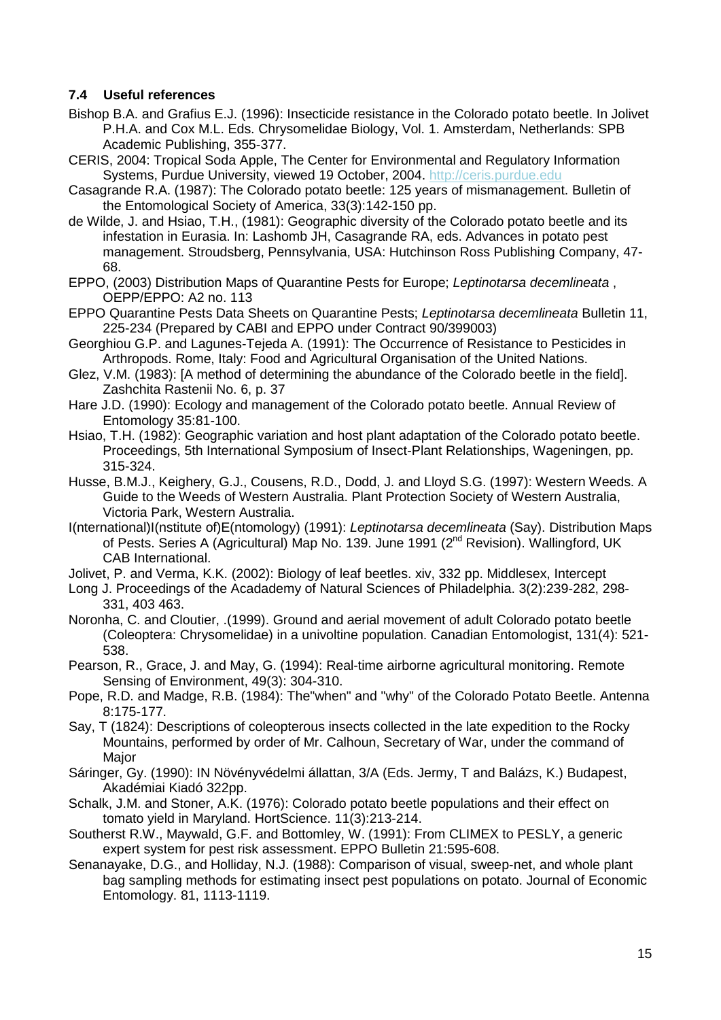# <span id="page-17-0"></span>**7.4 Useful references**

- Bishop B.A. and Grafius E.J. (1996): Insecticide resistance in the Colorado potato beetle. In Jolivet P.H.A. and Cox M.L. Eds. Chrysomelidae Biology, Vol. 1. Amsterdam, Netherlands: SPB Academic Publishing, 355-377.
- CERIS, 2004: Tropical Soda Apple, The Center for Environmental and Regulatory Information Systems, Purdue University, viewed 19 October, 2004. [http://ceris.purdue.edu](http://ceris.purdue.edu/napis/pests/tsa/index.html)
- Casagrande R.A. (1987): The Colorado potato beetle: 125 years of mismanagement. Bulletin of the Entomological Society of America, 33(3):142-150 pp.
- de Wilde, J. and Hsiao, T.H., (1981): Geographic diversity of the Colorado potato beetle and its infestation in Eurasia. In: Lashomb JH, Casagrande RA, eds. Advances in potato pest management. Stroudsberg, Pennsylvania, USA: Hutchinson Ross Publishing Company, 47- 68.
- EPPO, (2003) Distribution Maps of Quarantine Pests for Europe; *Leptinotarsa decemlineata* , OEPP/EPPO: A2 no. 113
- EPPO Quarantine Pests Data Sheets on Quarantine Pests; *Leptinotarsa decemlineata* Bulletin 11, 225-234 (Prepared by CABI and EPPO under Contract 90/399003)
- Georghiou G.P. and Lagunes-Tejeda A. (1991): The Occurrence of Resistance to Pesticides in Arthropods. Rome, Italy: Food and Agricultural Organisation of the United Nations.
- Glez, V.M. (1983): [A method of determining the abundance of the Colorado beetle in the field]. Zashchita Rastenii No. 6, p. 37
- Hare J.D. (1990): Ecology and management of the Colorado potato beetle. Annual Review of Entomology 35:81-100.
- Hsiao, T.H. (1982): Geographic variation and host plant adaptation of the Colorado potato beetle. Proceedings, 5th International Symposium of Insect-Plant Relationships, Wageningen, pp. 315-324.
- Husse, B.M.J., Keighery, G.J., Cousens, R.D., Dodd, J. and Lloyd S.G. (1997): Western Weeds. A Guide to the Weeds of Western Australia. Plant Protection Society of Western Australia, Victoria Park, Western Australia.
- I(nternational)I(nstitute of)E(ntomology) (1991): *Leptinotarsa decemlineata* (Say). Distribution Maps of Pests. Series A (Agricultural) Map No. 139. June 1991 (2<sup>nd</sup> Revision). Wallingford, UK CAB International.
- Jolivet, P. and Verma, K.K. (2002): Biology of leaf beetles. xiv, 332 pp. Middlesex, Intercept
- Long J. Proceedings of the Acadademy of Natural Sciences of Philadelphia. 3(2):239-282, 298- 331, 403 463.
- Noronha, C. and Cloutier, .(1999). Ground and aerial movement of adult Colorado potato beetle (Coleoptera: Chrysomelidae) in a univoltine population. Canadian Entomologist, 131(4): 521- 538.
- Pearson, R., Grace, J. and May, G. (1994): Real-time airborne agricultural monitoring. Remote Sensing of Environment, 49(3): 304-310.
- Pope, R.D. and Madge, R.B. (1984): The"when" and "why" of the Colorado Potato Beetle. Antenna 8:175-177.
- Say, T (1824): Descriptions of coleopterous insects collected in the late expedition to the Rocky Mountains, performed by order of Mr. Calhoun, Secretary of War, under the command of Major
- Sáringer, Gy. (1990): IN Növényvédelmi állattan, 3/A (Eds. Jermy, T and Balázs, K.) Budapest, Akadémiai Kiadó 322pp.
- Schalk, J.M. and Stoner, A.K. (1976): Colorado potato beetle populations and their effect on tomato yield in Maryland. HortScience. 11(3):213-214.
- Southerst R.W., Maywald, G.F. and Bottomley, W. (1991): From CLIMEX to PESLY, a generic expert system for pest risk assessment. EPPO Bulletin 21:595-608.
- Senanayake, D.G., and Holliday, N.J. (1988): Comparison of visual, sweep-net, and whole plant bag sampling methods for estimating insect pest populations on potato. Journal of Economic Entomology. 81, 1113-1119.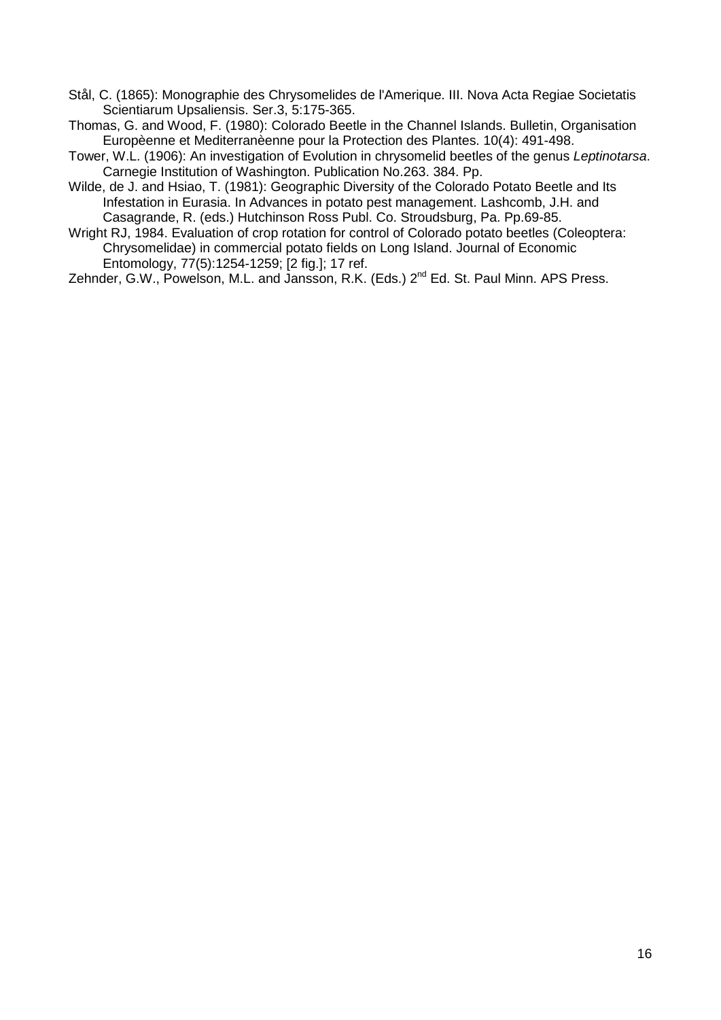Stål, C. (1865): Monographie des Chrysomelides de l'Amerique. III. Nova Acta Regiae Societatis Scientiarum Upsaliensis. Ser.3, 5:175-365.

Thomas, G. and Wood, F. (1980): Colorado Beetle in the Channel Islands. Bulletin, Organisation Europèenne et Mediterranèenne pour la Protection des Plantes. 10(4): 491-498.

Tower, W.L. (1906): An investigation of Evolution in chrysomelid beetles of the genus *Leptinotarsa*. Carnegie Institution of Washington. Publication No.263. 384. Pp.

Wilde, de J. and Hsiao, T. (1981): Geographic Diversity of the Colorado Potato Beetle and Its Infestation in Eurasia. In Advances in potato pest management. Lashcomb, J.H. and Casagrande, R. (eds.) Hutchinson Ross Publ. Co. Stroudsburg, Pa. Pp.69-85.

Wright RJ, 1984. Evaluation of crop rotation for control of Colorado potato beetles (Coleoptera: Chrysomelidae) in commercial potato fields on Long Island. Journal of Economic Entomology, 77(5):1254-1259; [2 fig.]; 17 ref.

Zehnder, G.W., Powelson, M.L. and Jansson, R.K. (Eds.) 2<sup>nd</sup> Ed. St. Paul Minn. APS Press.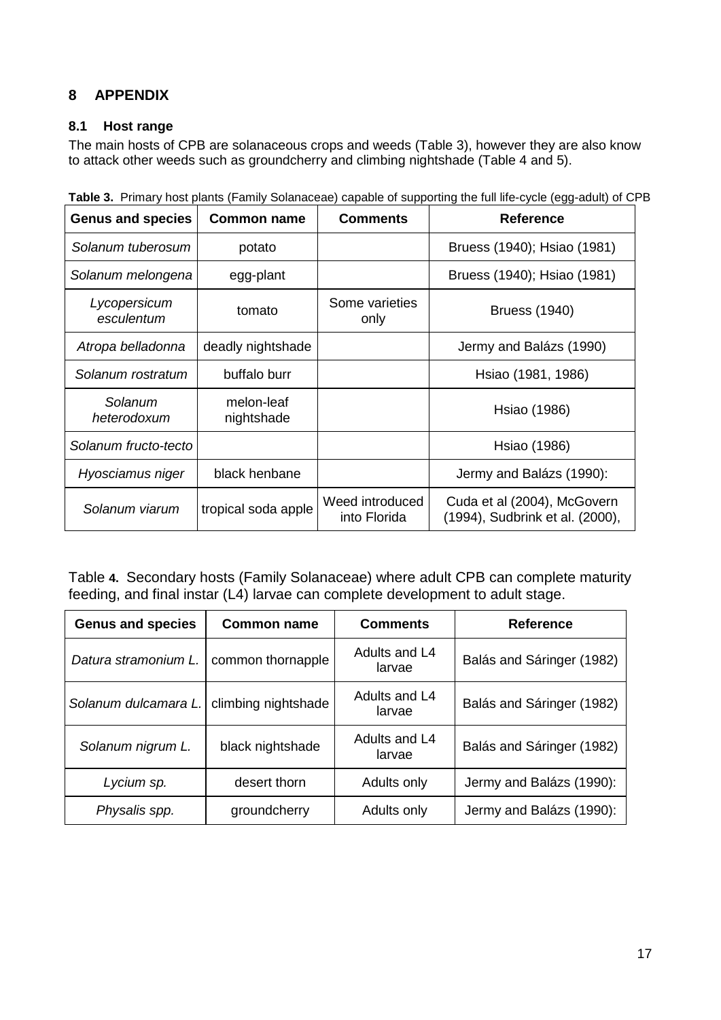# <span id="page-19-0"></span>**8 APPENDIX**

# <span id="page-19-1"></span>**8.1 Host range**

The main hosts of CPB are solanaceous crops and weeds (Table 3), however they are also know to attack other weeds such as groundcherry and climbing nightshade (Table 4 and 5).

| <b>Genus and species</b>   | <b>Common name</b>       | <b>Comments</b>                 | Reference                                                      |
|----------------------------|--------------------------|---------------------------------|----------------------------------------------------------------|
| Solanum tuberosum          | potato                   |                                 | Bruess (1940); Hsiao (1981)                                    |
| Solanum melongena          | egg-plant                |                                 | Bruess (1940); Hsiao (1981)                                    |
| Lycopersicum<br>esculentum | tomato                   | Some varieties<br>only          | <b>Bruess (1940)</b>                                           |
| Atropa belladonna          | deadly nightshade        |                                 | Jermy and Balázs (1990)                                        |
| Solanum rostratum          | buffalo burr             |                                 | Hsiao (1981, 1986)                                             |
| Solanum<br>heterodoxum     | melon-leaf<br>nightshade |                                 | Hsiao (1986)                                                   |
| Solanum fructo-tecto       |                          |                                 | Hsiao (1986)                                                   |
| Hyosciamus niger           | black henbane            |                                 | Jermy and Balázs (1990):                                       |
| Solanum viarum             | tropical soda apple      | Weed introduced<br>into Florida | Cuda et al (2004), McGovern<br>(1994), Sudbrink et al. (2000), |

**Table 3.** Primary host plants (Family Solanaceae) capable of supporting the full life-cycle (egg-adult) of CPB

Table **4.** Secondary hosts (Family Solanaceae) where adult CPB can complete maturity feeding, and final instar (L4) larvae can complete development to adult stage.

| <b>Genus and species</b> | <b>Common name</b>  | <b>Comments</b>         | <b>Reference</b>          |
|--------------------------|---------------------|-------------------------|---------------------------|
| Datura stramonium L.     | common thornapple   | Adults and L4<br>larvae | Balás and Sáringer (1982) |
| Solanum dulcamara L.     | climbing nightshade | Adults and L4<br>larvae | Balás and Sáringer (1982) |
| Solanum nigrum L.        | black nightshade    | Adults and L4<br>larvae | Balás and Sáringer (1982) |
| Lycium sp.               | desert thorn        | Adults only             | Jermy and Balázs (1990):  |
| Physalis spp.            | groundcherry        | Adults only             | Jermy and Balázs (1990):  |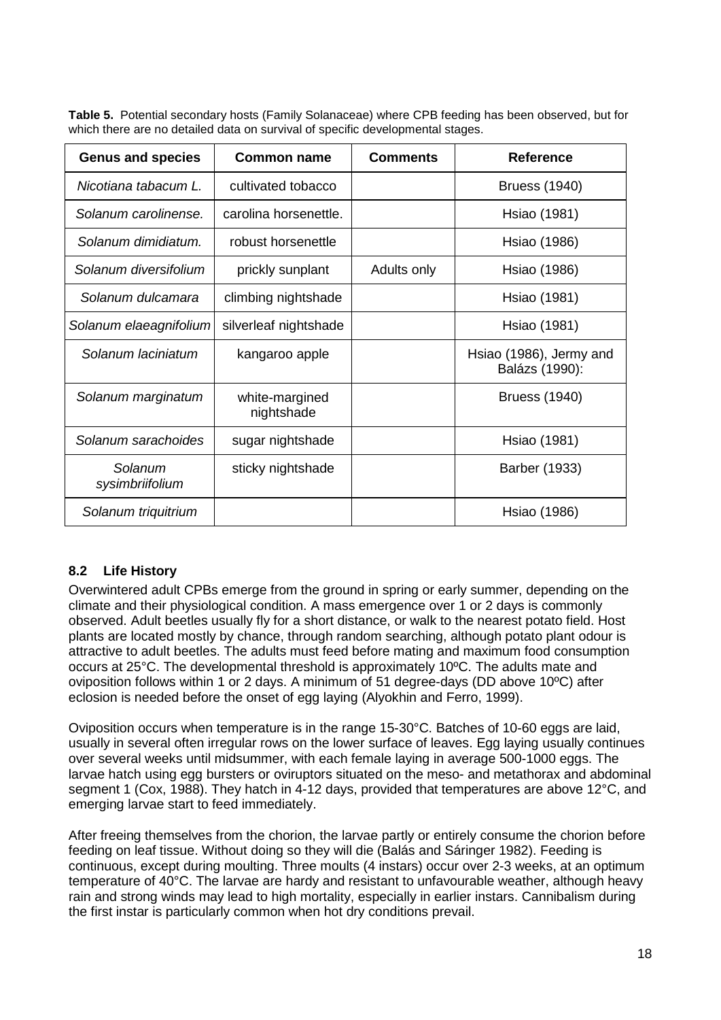**Table 5.** Potential secondary hosts (Family Solanaceae) where CPB feeding has been observed, but for which there are no detailed data on survival of specific developmental stages.

| <b>Genus and species</b>   | Common name                  | <b>Comments</b> | <b>Reference</b>                          |
|----------------------------|------------------------------|-----------------|-------------------------------------------|
| Nicotiana tabacum L.       | cultivated tobacco           |                 | <b>Bruess (1940)</b>                      |
| Solanum carolinense.       | carolina horsenettle.        |                 | Hsiao (1981)                              |
| Solanum dimidiatum.        | robust horsenettle           |                 | Hsiao (1986)                              |
| Solanum diversifolium      | prickly sunplant             | Adults only     | Hsiao (1986)                              |
| Solanum dulcamara          | climbing nightshade          |                 | Hsiao (1981)                              |
| Solanum elaeagnifolium     | silverleaf nightshade        |                 | Hsiao (1981)                              |
| Solanum laciniatum         | kangaroo apple               |                 | Hsiao (1986), Jermy and<br>Balázs (1990): |
| Solanum marginatum         | white-margined<br>nightshade |                 | <b>Bruess (1940)</b>                      |
| Solanum sarachoides        | sugar nightshade             |                 | Hsiao (1981)                              |
| Solanum<br>sysimbriifolium | sticky nightshade            |                 | Barber (1933)                             |
| Solanum triquitrium        |                              |                 | Hsiao (1986)                              |

# <span id="page-20-0"></span>**8.2 Life History**

Overwintered adult CPBs emerge from the ground in spring or early summer, depending on the climate and their physiological condition. A mass emergence over 1 or 2 days is commonly observed. Adult beetles usually fly for a short distance, or walk to the nearest potato field. Host plants are located mostly by chance, through random searching, although potato plant odour is attractive to adult beetles. The adults must feed before mating and maximum food consumption occurs at 25°C. The developmental threshold is approximately 10ºC. The adults mate and oviposition follows within 1 or 2 days. A minimum of 51 degree-days (DD above 10ºC) after eclosion is needed before the onset of egg laying (Alyokhin and Ferro, 1999).

Oviposition occurs when temperature is in the range 15-30°C. Batches of 10-60 eggs are laid, usually in several often irregular rows on the lower surface of leaves. Egg laying usually continues over several weeks until midsummer, with each female laying in average 500-1000 eggs. The larvae hatch using egg bursters or oviruptors situated on the meso- and metathorax and abdominal segment 1 (Cox, 1988). They hatch in 4-12 days, provided that temperatures are above 12°C, and emerging larvae start to feed immediately.

After freeing themselves from the chorion, the larvae partly or entirely consume the chorion before feeding on leaf tissue. Without doing so they will die (Balás and Sáringer 1982). Feeding is continuous, except during moulting. Three moults (4 instars) occur over 2-3 weeks, at an optimum temperature of 40°C. The larvae are hardy and resistant to unfavourable weather, although heavy rain and strong winds may lead to high mortality, especially in earlier instars. Cannibalism during the first instar is particularly common when hot dry conditions prevail.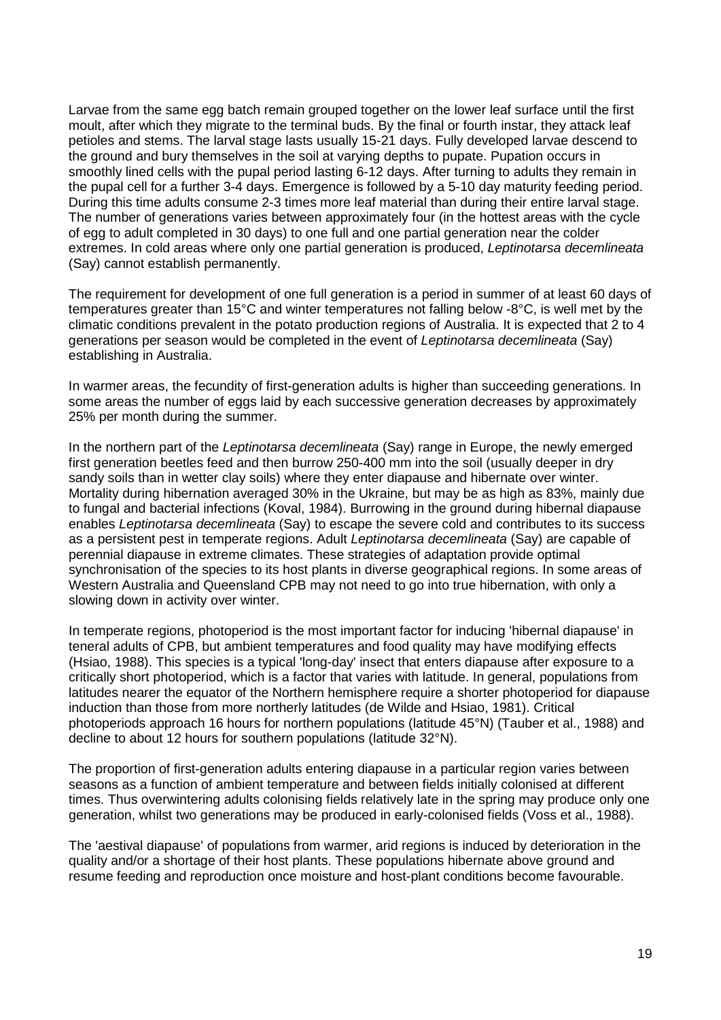Larvae from the same egg batch remain grouped together on the lower leaf surface until the first moult, after which they migrate to the terminal buds. By the final or fourth instar, they attack leaf petioles and stems. The larval stage lasts usually 15-21 days. Fully developed larvae descend to the ground and bury themselves in the soil at varying depths to pupate. Pupation occurs in smoothly lined cells with the pupal period lasting 6-12 days. After turning to adults they remain in the pupal cell for a further 3-4 days. Emergence is followed by a 5-10 day maturity feeding period. During this time adults consume 2-3 times more leaf material than during their entire larval stage. The number of generations varies between approximately four (in the hottest areas with the cycle of egg to adult completed in 30 days) to one full and one partial generation near the colder extremes. In cold areas where only one partial generation is produced, *Leptinotarsa decemlineata* (Say) cannot establish permanently.

The requirement for development of one full generation is a period in summer of at least 60 days of temperatures greater than 15°C and winter temperatures not falling below -8°C, is well met by the climatic conditions prevalent in the potato production regions of Australia. It is expected that 2 to 4 generations per season would be completed in the event of *Leptinotarsa decemlineata* (Say) establishing in Australia.

In warmer areas, the fecundity of first-generation adults is higher than succeeding generations. In some areas the number of eggs laid by each successive generation decreases by approximately 25% per month during the summer.

In the northern part of the *Leptinotarsa decemlineata* (Say) range in Europe, the newly emerged first generation beetles feed and then burrow 250-400 mm into the soil (usually deeper in dry sandy soils than in wetter clay soils) where they enter diapause and hibernate over winter. Mortality during hibernation averaged 30% in the Ukraine, but may be as high as 83%, mainly due to fungal and bacterial infections (Koval, 1984). Burrowing in the ground during hibernal diapause enables *Leptinotarsa decemlineata* (Say) to escape the severe cold and contributes to its success as a persistent pest in temperate regions. Adult *Leptinotarsa decemlineata* (Say) are capable of perennial diapause in extreme climates. These strategies of adaptation provide optimal synchronisation of the species to its host plants in diverse geographical regions. In some areas of Western Australia and Queensland CPB may not need to go into true hibernation, with only a slowing down in activity over winter.

In temperate regions, photoperiod is the most important factor for inducing 'hibernal diapause' in teneral adults of CPB, but ambient temperatures and food quality may have modifying effects (Hsiao, 1988). This species is a typical 'long-day' insect that enters diapause after exposure to a critically short photoperiod, which is a factor that varies with latitude. In general, populations from latitudes nearer the equator of the Northern hemisphere require a shorter photoperiod for diapause induction than those from more northerly latitudes (de Wilde and Hsiao, 1981). Critical photoperiods approach 16 hours for northern populations (latitude 45°N) (Tauber et al., 1988) and decline to about 12 hours for southern populations (latitude 32°N).

The proportion of first-generation adults entering diapause in a particular region varies between seasons as a function of ambient temperature and between fields initially colonised at different times. Thus overwintering adults colonising fields relatively late in the spring may produce only one generation, whilst two generations may be produced in early-colonised fields (Voss et al., 1988).

The 'aestival diapause' of populations from warmer, arid regions is induced by deterioration in the quality and/or a shortage of their host plants. These populations hibernate above ground and resume feeding and reproduction once moisture and host-plant conditions become favourable.